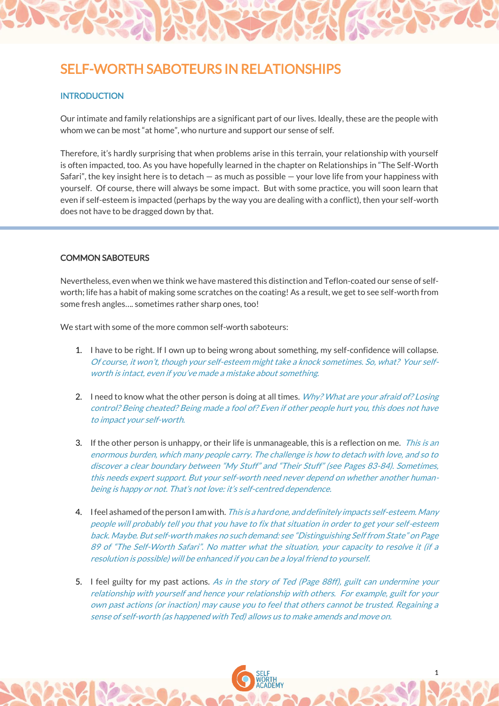# SELF-WORTH SABOTEURS IN RELATIONSHIPS

## **INTRODUCTION**

Our intimate and family relationships are a significant part of our lives. Ideally, these are the people with whom we can be most "at home", who nurture and support our sense of self.

Therefore, it's hardly surprising that when problems arise in this terrain, your relationship with yourself is often impacted, too. As you have hopefully learned in the chapter on Relationships in "The Self-Worth Safari", the key insight here is to detach  $-$  as much as possible  $-$  your love life from your happiness with yourself. Of course, there will always be some impact. But with some practice, you will soon learn that even if self-esteem is impacted (perhaps by the way you are dealing with a conflict), then your self-worth does not have to be dragged down by that.

### COMMON SABOTEURS

Nevertheless, even when we think we have mastered this distinction and Teflon-coated our sense of selfworth; life has a habit of making some scratches on the coating! As a result, we get to see self-worth from some fresh angles…. sometimes rather sharp ones, too!

We start with some of the more common self-worth saboteurs:

- 1. I have to be right. If I own up to being wrong about something, my self-confidence will collapse. Of course, it won't, though your self-esteem might take a knock sometimes. So, what? Your selfworth is intact, even if you've made a mistake about something.
- 2. I need to know what the other person is doing at all times. Why? What are your afraid of? Losing control? Being cheated? Being made a fool of? Even if other people hurt you, this does not have to impact your self-worth.
- 3. If the other person is unhappy, or their life is unmanageable, this is a reflection on me. *This is an* enormous burden, which many people carry. The challenge is how to detach with love, and so to discover a clear boundary between "My Stuff" and "Their Stuff" (see Pages 83-84). Sometimes, this needs expert support. But your self-worth need never depend on whether another humanbeing is happy or not. That's not love: it's self-centred dependence.
- 4. If eel ashamed of the person I am with. This is a hard one, and definitely impacts self-esteem. Many people will probably tell you that you have to fix that situation in order to get your self-esteem back. Maybe. But self-worth makes no such demand: see "Distinguishing Self from State" on Page 89 of "The Self-Worth Safari". No matter what the situation, your capacity to resolve it (if a resolution is possible) will be enhanced if you can be a loyal friend to yourself.
- 5. I feel guilty for my past actions. As in the story of Ted (Page 88ff), guilt can undermine your relationship with yourself and hence your relationship with others. For example, guilt for your own past actions (or inaction) may cause you to feel that others cannot be trusted. Regaining a sense of self-worth (as happened with Ted) allows us to make amends and move on.

1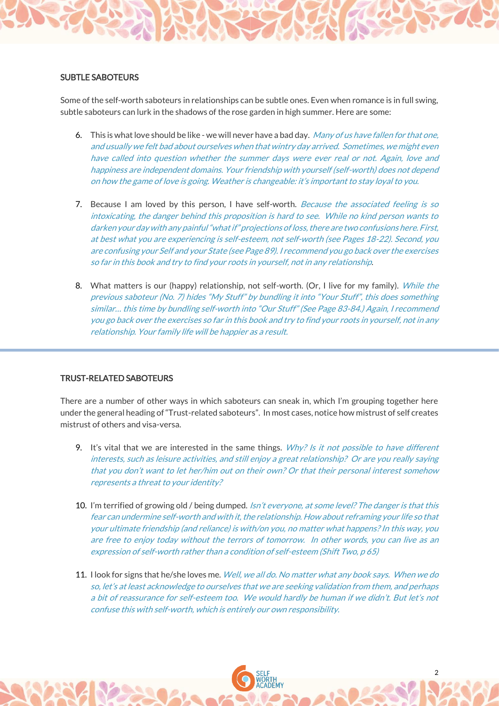#### SUBTLE SABOTEURS

Some of the self-worth saboteurs in relationships can be subtle ones. Even when romance is in full swing, subtle saboteurs can lurk in the shadows of the rose garden in high summer. Here are some:

- 6. This is what love should be like we will never have a bad day. Many of us have fallen for that one, and usually we felt bad about ourselves when that wintry day arrived. Sometimes, we might even have called into question whether the summer days were ever real or not. Again, love and happiness are independent domains. Your friendship with yourself (self-worth) does not depend on how the game of love is going. Weather is changeable: it's important to stay loyal to you.
- 7. Because I am loved by this person, I have self-worth. Because the associated feeling is so intoxicating, the danger behind this proposition is hard to see. While no kind person wants to darken your day with any painful "what if" projections of loss, there are two confusions here. First, at best what you are experiencing is self-esteem, not self-worth (see Pages 18-22). Second, you are confusing your Self and your State (see Page 89). I recommend you go back over the exercises so far in this book and try to find your roots in yourself, not in any relationship.
- 8. What matters is our (happy) relationship, not self-worth. (Or, I live for my family). While the previous saboteur (No. 7) hides "My Stuff" by bundling it into "Your Stuff", this does something similar… this time by bundling self-worth into "Our Stuff" (See Page 83-84.) Again, I recommend you go back over the exercises so far in this book and try to find your roots in yourself, not in any relationship. Your family life will be happier as a result.

#### TRUST-RELATED SABOTEURS

There are a number of other ways in which saboteurs can sneak in, which I'm grouping together here under the general heading of "Trust-related saboteurs". In most cases, notice how mistrust of self creates mistrust of others and visa-versa.

- 9. It's vital that we are interested in the same things.  $Why?$  is it not possible to have different interests, such as leisure activities, and still enjoy a great relationship? Or are you really saying that you don't want to let her/him out on their own? Or that their personal interest somehow represents a threat to your identity?
- 10. I'm terrified of growing old / being dumped. Isn't everyone, at some level? The danger is that this fear can undermine self-worth and with it, the relationship. How about reframing your life so that your ultimate friendship (and reliance) is with/on you, no matter what happens? In this way, you are free to enjoy today without the terrors of tomorrow. In other words, you can live as an expression of self-worth rather than a condition of self-esteem (Shift Two, p 65)
- 11. I look for signs that he/she loves me. *Well, we all do. No matter what any book says. When we do* so, let's at least acknowledge to ourselves that we are seeking validation from them, and perhaps a bit of reassurance for self-esteem too. We would hardly be human if we didn't. But let's not confuse this with self-worth, which is entirely our own responsibility.

2